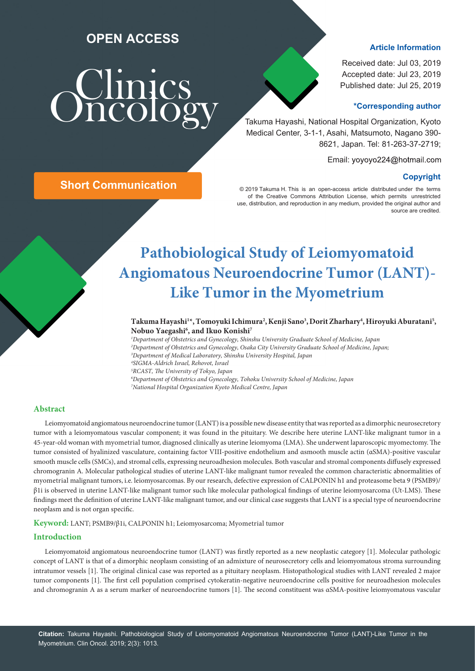## **OPEN ACCESS**

# **Sumics**

## **Article Information**

Received date: Jul 03, 2019 Accepted date: Jul 23, 2019 Published date: Jul 25, 2019

## **\*Corresponding author**

 Takuma Hayashi, National Hospital Organization, Kyoto Medical Center, 3-1-1, Asahi, Matsumoto, Nagano 390- 8621, Japan. Tel: 81-263-37-2719;

Email: yoyoyo224@hotmail.com

**Short Communication**<br>
© 2019 Takuma H. This is an open-access article distributed under the terms of the Creative Commons Attribution License, which permits unrestricted use, distribution, and reproduction in any medium, provided the original author and source are credited.

## **Pathobiological Study of Leiomyomatoid Angiomatous Neuroendocrine Tumor (LANT)- Like Tumor in the Myometrium**

## Takuma Hayashi<sup>1</sup>\*, Tomoyuki Ichimura<sup>2</sup>, Kenji Sano<sup>3</sup>, Dorit Zharhary<sup>4</sup>, Hiroyuki Aburatani<sup>5</sup>, **Nobuo Yaegashi6 , and Ikuo Konishi7**

 *Department of Obstetrics and Gynecology, Shinshu University Graduate School of Medicine, Japan Department of Obstetrics and Gynecology, Osaka City University Graduate School of Medicine, Japan; Department of Medical Laboratory, Shinshu University Hospital, Japan SIGMA-Aldrich Israel, Rehovot, Israel RCAST, The University of Tokyo, Japan Department of Obstetrics and Gynecology, Tohoku University School of Medicine, Japan National Hospital Organization Kyoto Medical Centre, Japan*

## **Abstract**

Leiomyomatoid angiomatous neuroendocrine tumor (LANT) is a possible new disease entity that was reported as a dimorphic neurosecretory tumor with a leiomyomatous vascular component; it was found in the pituitary. We describe here uterine LANT-like malignant tumor in a 45-year-old woman with myometrial tumor, diagnosed clinically as uterine leiomyoma (LMA). She underwent laparoscopic myomectomy. The tumor consisted of hyalinized vasculature, containing factor VIII-positive endothelium and αsmooth muscle actin (αSMA)-positive vascular smooth muscle cells (SMCs), and stromal cells, expressing neuroadhesion molecules. Both vascular and stromal components diffusely expressed chromogranin A. Molecular pathological studies of uterine LANT-like malignant tumor revealed the common characteristic abnormalities of myometrial malignant tumors, i.e. leiomyosarcomas. By our research, defective expression of CALPONIN h1 and proteasome beta 9 (PSMB9)/ β1i is observed in uterine LANT-like malignant tumor such like molecular pathological findings of uterine leiomyosarcoma (Ut-LMS). These findings meet the definition of uterine LANT-like malignant tumor, and our clinical case suggests that LANT is a special type of neuroendocrine neoplasm and is not organ specific.

**Keyword:** LANT; PSMB9/β1i, CALPONIN h1; Leiomyosarcoma; Myometrial tumor

## **Introduction**

Leiomyomatoid angiomatous neuroendocrine tumor (LANT) was firstly reported as a new neoplastic category [1]. Molecular pathologic concept of LANT is that of a dimorphic neoplasm consisting of an admixture of neurosecretory cells and leiomyomatous stroma surrounding intratumor vessels [1]. The original clinical case was reported as a pituitary neoplasm. Histopathological studies with LANT revealed 2 major tumor components [1]. The first cell population comprised cytokeratin-negative neuroendocrine cells positive for neuroadhesion molecules and chromogranin A as a serum marker of neuroendocrine tumors [1]. The second constituent was αSMA-positive leiomyomatous vascular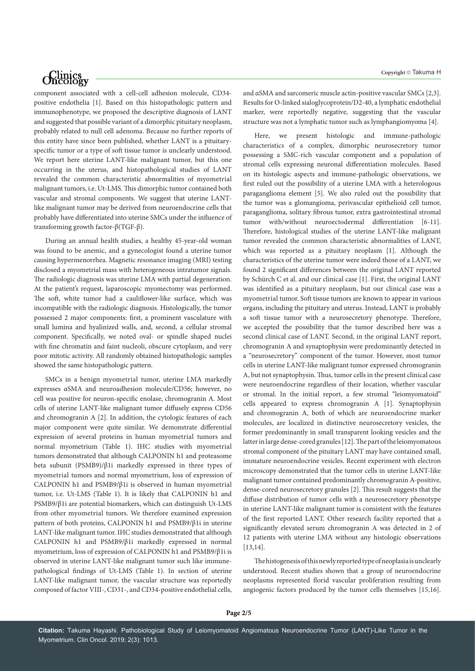## *Oncology*

component associated with a cell-cell adhesion molecule, CD34 positive endothelia [1]. Based on this histopathologic pattern and immunophenotype, we proposed the descriptive diagnosis of LANT and suggested that possible variant of a dimorphic pituitary neoplasm, probably related to null cell adenoma. Because no further reports of this entity have since been published, whether LANT is a pituitaryspecific tumor or a type of soft tissue tumor is unclearly understood. We report here uterine LANT-like malignant tumor, but this one occurring in the uterus, and histopathological studies of LANT revealed the common characteristic abnormalities of myometrial malignant tumors, i.e. Ut-LMS. This dimorphic tumor contained both vascular and stromal components. We suggest that uterine LANTlike malignant tumor may be derived from neuroendocrine cells that probably have differentiated into uterine SMCs under the influence of transforming growth factor-β(TGF-β).

During an annual health studies, a healthy 45-year-old woman was found to be anemic, and a gynecologist found a uterine tumor causing hypermenorrhea. Magnetic resonance imaging (MRI) testing disclosed a myometrial mass with heterogeneous intratumor signals. The radiologic diagnosis was uterine LMA with partial degeneration. At the patient's request, laparoscopic myomectomy was performed. The soft, white tumor had a cauliflower-like surface, which was incompatible with the radiologic diagnosis. Histologically, the tumor possessed 2 major components: first, a prominent vasculature with small lumina and hyalinized walls, and, second, a cellular stromal component. Specifically, we noted oval- or spindle shaped nuclei with fine chromatin and faint nucleoli, obscure cytoplasm, and very poor mitotic activity. All randomly obtained histopathologic samples showed the same histopathologic pattern.

SMCs in a benign myometrial tumor, uterine LMA markedly expresses αSMA and neuroadhesion molecule/CD56; however, no cell was positive for neuron-specific enolase, chromogranin A. Most cells of uterine LANT-like malignant tumor diffusely express CD56 and chromogranin A [2]. In addition, the cytologic features of each major component were quite similar. We demonstrate differential expression of several proteins in human myometrial tumors and normal myometrium (Table 1). IHC studies with myometrial tumors demonstrated that although CALPONIN h1 and proteasome beta subunit (PSMB9)/β1i markedly expressed in three types of myometrial tumors and normal myometrium, loss of expression of CALPONIN h1 and PSMB9/β1i is observed in human myometrial tumor, i.e. Ut-LMS (Table 1). It is likely that CALPONIN h1 and PSMB9/β1i are potential biomarkers, which can distinguish Ut-LMS from other myometrial tumors. We therefore examined expression pattern of both proteins, CALPONIN h1 and PSMB9/β1i in uterine LANT-like malignant tumor. IHC studies demonstrated that although CALPONIN h1 and PSMB9/β1i markedly expressed in normal myometrium, loss of expression of CALPONIN h1 and PSMB9/β1i is observed in uterine LANT-like malignant tumor such like immunepathological findings of Ut-LMS (Table 1). In section of uterine LANT-like malignant tumor, the vascular structure was reportedly composed of factor VIII-, CD31-, and CD34-positive endothelial cells,

**Copyright**  Takuma H

and αSMA and sarcomeric muscle actin-positive vascular SMCs [2,3]. Results for O-linked sialoglycoprotein/D2-40, a lymphatic endothelial marker, were reportedly negative, suggesting that the vascular structure was not a lymphatic tumor such as lymphangiomyoma [4].

Here, we present histologic and immune-pathologic characteristics of a complex, dimorphic neurosecretory tumor possessing a SMC-rich vascular component and a population of stromal cells expressing neuronal differentiation molecules. Based on its histologic aspects and immune-pathologic observations, we first ruled out the possibility of a uterine LMA with a heterologous paraganglioma element [5]. We also ruled out the possibility that the tumor was a glomangioma, perivascular epithelioid cell tumor, paraganglioma, solitary fibrous tumor, extra gastrointestinal stromal tumor with/without neuroectodermal differentiation [6-11]. Therefore, histological studies of the uterine LANT-like malignant tumor revealed the common characteristic abnormalities of LANT, which was reported as a pituitary neoplasm [1]. Although the characteristics of the uterine tumor were indeed those of a LANT, we found 2 significant differences between the original LANT reported by Schürch C et al. and our clinical case [1]. First, the original LANT was identified as a pituitary neoplasm, but our clinical case was a myometrial tumor. Soft tissue tumors are known to appear in various organs, including the pituitary and uterus. Instead, LANT is probably a soft tissue tumor with a neurosecretory phenotype. Therefore, we accepted the possibility that the tumor described here was a second clinical case of LANT. Second, in the original LANT report, chromogranin A and synaptophysin were predominantly detected in a "neurosecretory" component of the tumor. However, most tumor cells in uterine LANT-like malignant tumor expressed chromogranin A, but not synaptophysin. Thus, tumor cells in the present clinical case were neuroendocrine regardless of their location, whether vascular or stromal. In the initial report, a few stromal "leiomyomatoid" cells appeared to express chromogranin A [1]. Synaptophysin and chromogranin A, both of which are neuroendocrine marker molecules, are localized in distinctive neurosecretory vesicles, the former predominantly in small transparent looking vesicles and the latter in large dense-cored granules [12]. The part of the leiomyomatous stromal component of the pituitary LANT may have contained small, immature neuroendocrine vesicles. Recent experiment with electron microscopy demonstrated that the tumor cells in uterine LANT-like malignant tumor contained predominantly chromogranin A-positive, dense-cored neurosecretory granules [2]. This result suggests that the diffuse distribution of tumor cells with a neurosecretory phenotype in uterine LANT-like malignant tumor is consistent with the features of the first reported LANT. Other research facility reported that a significantly elevated serum chromogranin A was detected in 2 of 12 patients with uterine LMA without any histologic observations [13,14].

The histogenesis of this newly reported type of neoplasia is unclearly understood. Recent studies shown that a group of neuroendocrine neoplasms represented florid vascular proliferation resulting from angiogenic factors produced by the tumor cells themselves [15,16].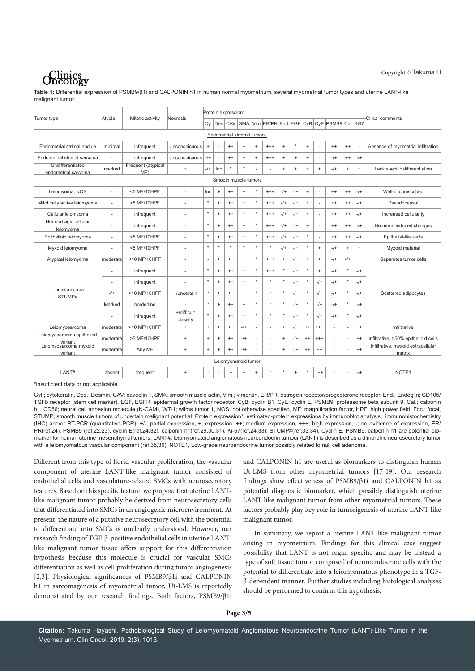## *<u>Clinics</u>*

**Table 1:** Differential expression of PSMB9/β1i and CALPONIN h1 in human normal myometrium, several myometrial tumor types and uterine LANT-like malignant tumor.

| Tumor type                              | Atypia                   | Mitotic activity          | Necrosis                |                                  |                 | Protein expression* |           |           |          |           |           |           |                                  |                                                          |                                  |           |                                              |
|-----------------------------------------|--------------------------|---------------------------|-------------------------|----------------------------------|-----------------|---------------------|-----------|-----------|----------|-----------|-----------|-----------|----------------------------------|----------------------------------------------------------|----------------------------------|-----------|----------------------------------------------|
|                                         |                          |                           |                         |                                  |                 |                     |           |           |          |           |           |           |                                  | Cyt Des CAV SMA Vim ER/PR End EGF CyB CyE PSMB9 Cal Ki67 |                                  |           | Cliical comments                             |
| Endometrial stromal tumors.             |                          |                           |                         |                                  |                 |                     |           |           |          |           |           |           |                                  |                                                          |                                  |           |                                              |
| Endometrial strimal nodule              | minimal                  | infrequent                | -/inconspicuous         | $\! +$                           | ٠               | $^{++}$             | $\ddot{}$ | $\ddot{}$ | $^{+++}$ | $\ddot{}$ | $\star$   | $\ddot{}$ | ÷                                | $^{++}$                                                  | $^{++}$                          |           | Absence of myometrial infiltration           |
| Endometrial strimal sarcoma             |                          | infrequent                | -/inconspicuous         | $-$ /+                           | $\sim$          | $^{++}$             | $+$       | $\ddot{}$ | $^{+++}$ | $\ddot{}$ | $\ddot{}$ | $\ddot{}$ | ÷,                               | $-$ /+                                                   | $^{++}$                          | $-$ /+    |                                              |
| Undifferentiated<br>endometrial sarcoma | marked                   | Frequent (atypical<br>MF) | $+$                     | $-$ /+                           | foc             | $\star$             | ۸         |           |          | $+$       | $\ddot{}$ | $\ddot{}$ | $\ddot{}$                        | $-1$                                                     | $\begin{array}{c} + \end{array}$ | $+$       | Lack specific differentiation                |
| Smooth muscle tumors                    |                          |                           |                         |                                  |                 |                     |           |           |          |           |           |           |                                  |                                                          |                                  |           |                                              |
| Leiomyoma, NOS                          | $\overline{\phantom{a}}$ | <5 MF/10HPF               | ÷.                      | foc                              | $\ddot{}$       | $^{++}$             | $\ddot{}$ | $\star$   | $^{+++}$ | $-1$      | $-$ /+    | $\,$ +    | ÷.                               | $^{++}$                                                  | $^{++}$                          | $-$ /+    | Well-circumscribed                           |
| Mitotically active leiomyoma            | $\overline{\phantom{a}}$ | >5 MF/10HPF               | ÷,                      | $\star$                          | $\ddot{}$       | $^{++}$             | $\ddot{}$ | $\star$   | $^{+++}$ | $-$ /+    | $-$ /+    | $\ddot{}$ | ÷.                               | $^{++}$                                                  | $^{++}$                          | $-$ /+    | Pseudocapsul                                 |
| Cellular leiomyoma                      | $\sim$                   | infrequent                | ÷,                      | $\star$                          | $\ddot{}$       | $^{++}$             | $\ddot{}$ | $\star$   | $^{+++}$ | $-1$      | $-1$      | $\ddot{}$ | ÷                                | $^{++}$                                                  | $^{++}$                          | $-$ /+    | Increased cellularity                        |
| Hemorrhagic cellular<br>leiomyoma       | $\overline{\phantom{a}}$ | infrequent                | ä,                      | $\star$                          | $\ddot{}$       | $^{++}$             | $\ddot{}$ | $\star$   | $^{+++}$ | $-$ /+    | $-1$      | $\ddot{}$ | ÷.                               | $^{++}$                                                  | $^{++}$                          | $-$ /+    | Hormone induced changes                      |
| Epithelioid leiomyoma                   | $\overline{\phantom{a}}$ | <5 MF/10HPF               | ÷.                      | $\star$                          | $\ddot{}$       | $^{++}$             | $\ddot{}$ | $\star$   | $^{+++}$ | $-$ /+    | $-1$      | $\star$   | ÷,                               | $^{++}$                                                  | $^{++}$                          | $-$ /+    | Epithelial-like cells                        |
| Myxoid leiomyoma                        |                          | <5 MF/10HPF               | ä,                      | $\star$                          | $\star$         |                     | ۸         |           |          | $-$ /+    | $-$ /+    | $\star$   | $\ddot{}$                        | $-$ /+                                                   | $\begin{array}{c} + \end{array}$ | $\ddot{}$ | Myxoid material                              |
| Atypical leiomyoma                      | moderate                 | <10 MF/10HPF              | ÷,                      | ÷,                               | $\ddot{}$       | $^{++}$             | $\ddot{}$ | $\star$   | $^{+++}$ | $+$       | $-1$      | $\ddot{}$ | $\ddot{}$                        | $-$ /+                                                   | $-1+$                            | $\ddot{}$ | Separates tumor cells                        |
| Lipoleiomyoma<br>STUMP#                 | ÷                        | infrequent                | ÷.                      | $\star$                          | $\ddot{}$       | $^{++}$             | $+$       | $\star$   | $^{+++}$ | $^\star$  | $-$ /+    | $\star$   | $\begin{array}{c} + \end{array}$ | $-$ /+                                                   | $^\star$                         | $-$ /+    | Scattered adipocytes                         |
|                                         | ٠                        | infrequent                | ä,                      | $\star$                          | $\ddot{}$       | $^{++}$             | $+$       |           |          | $\star$   | $-1$      | $\star$   | $-$ /+                           | $-$ /+                                                   | $\star$                          | $-$ /+    |                                              |
|                                         | $-/+$                    | >10 MF/10HPF              | +/uncertain             | $\star$                          | $\ddot{}$       | $^{++}$             | $\ddot{}$ | $\star$   |          | $\star$   | $-1$      | $\star$   | $-$ /+                           | $-1$                                                     | $\star$                          | $-$ /+    |                                              |
|                                         | Marked                   | borderline                |                         | $\star$                          | $\ddot{}$       | $^{++}$             | $\ddot{}$ | $\star$   |          | $\star$   | $-1$      | $\star$   | $-$ /+                           | $-1$                                                     | $\star$                          | $-$ /+    |                                              |
|                                         | $\sim$                   | infrequent                | +/difficult<br>classify | $\star$                          | $\ddot{}$       | $^{++}$             | $\ddot{}$ | $\star$   |          |           | $-$ /+    | $\star$   | $-$ /+                           | $-$ /+                                                   | $\star$                          | $-$ /+    |                                              |
| Leiomyosarcoma                          | moderate                 | >10 MF/10HPF              | $+$                     | $\ddot{}$                        | $\ddot{}$       | $^{++}$             | $-/+$     | ×.        |          | $+$       | $-1$      | $^{++}$   | $^{+++}$                         | ÷.                                                       | $\overline{\phantom{a}}$         | $^{++}$   | Infiltrative                                 |
| Leiomyosarcoma epitheliod<br>variant    | moderate                 | >5 MF/10HPF               | $\ddot{}$               | $\begin{array}{c} + \end{array}$ | $^{\mathrm{+}}$ | $^{++}$             | $-/+$     | $\sim$    |          | $\ddot{}$ | $-$ /+    | $^{++}$   | $***$                            |                                                          | ٠                                | $^{++}$   | Infiltrative, >50% epithelioid cells         |
| Leiomyosarcoma myxoid<br>variant        | moderate                 | Any MF                    | $\ddot{}$               | $\ddot{}$                        | $\ddot{}$       | $^{++}$             | $-$ /+    | $\sim$    |          | $\ddot{}$ | $-$ /+    | $^{++}$   | $^{++}$                          |                                                          | $\sim$                           | $^{++}$   | Infiltrative, myxoid extracellular<br>matrix |
|                                         |                          |                           |                         |                                  |                 | Leiomyomatoid tumor |           |           |          |           |           |           |                                  |                                                          |                                  |           |                                              |
| LANT#                                   | absent                   | frequent                  | $+$                     | ä,                               |                 | $+$                 | $+$       | $\ddot{}$ |          |           | $\ddot{}$ | $\star$   | $^{++}$                          |                                                          | $\sim$                           | $-$ /+    | NOTE1                                        |
|                                         |                          |                           |                         |                                  |                 |                     |           |           |          |           |           |           |                                  |                                                          |                                  |           |                                              |

\*insufficient data or not applicable.

Cyt.; cytokeratin, Des.; Desmin, CAV; caveolin 1, SMA; smooth muscle actin, Vim.; vimentin, ER/PR; estrogen receptor/progesterone receptor, End.; Endoglin; CD105/ TGFb receptor (stem cell marker), EGF, EGFR; epidermal growth factor receptor, CyB; cyclin B1, CyE; cyclin E, PSMB9; proteasome beta subunit 9, Cal.; calponin h1, CD56; neural cell adhesion molecule (N-CAM), WT-1; wilms tumor 1, NOS; not otherwise specified, MF; magnification factor, HPF; high power field, Foc.; focal, STUMP; smooth muscle tumors of uncertain malignant potential. Protein expression\*, estimated-protein expressions by immunoblot analysis, immunohistochemistry (IHC) and/or RT-PCR (quantitative-PCR), +/-; partial expression, +; expression, ++; medium expression, +++; high expression, -; no evidence of expression, ER/ PR(ref.24), PSMB9 (ref.22,23), cyclin E(ref.24,32), calponin h1(ref.29,30,31), Ki-67(ref.24,33). STUMP#(ref.33,34). Cyclin E, PSMB9, calponin h1 are potential biomarker for human uterine mesenchymal tumors. LANT#, leiomyomatoid angiomatous neuroendocrin tumour (LANT) is described as a dimorphic neurosecretory tumor with a leiomyomatous vascular component (ref.35,36). NOTE1, Low-grade neuroendocrine tumor possibly related to null cell adenoma.

Different from this type of florid vascular proliferation, the vascular component of uterine LANT-like malignant tumor consisted of endothelial cells and vasculature-related SMCs with neurosecretory features. Based on this specific feature, we propose that uterine LANTlike malignant tumor probably be derived from neurosecretory cells that differentiated into SMCs in an angiogenic microenvironment. At present, the nature of a putative neurosecretory cell with the potential to differentiate into SMCs is unclearly understood. However, our research finding of TGF-β-positive endothelial cells in uterine LANTlike malignant tumor tissue offers support for this differentiation hypothesis because this molecule is crucial for vascular SMCs differentiation as well as cell proliferation during tumor angiogenesis [2,3]. Physiological significances of PSMB9/β1i and CALPONIN h1 in sarcomagenesis of myometrial tumor, Ut-LMS is reportedly demonstrated by our research findings. Both factors, PSMB9/β1i

and CALPONIN h1 are useful as biomarkers to distinguish human Ut-LMS from other myometrial tumors [17-19]. Our research findings show effectiveness of PSMB9/β1i and CALPONIN h1 as potential diagnostic biomarker, which possibly distinguish uterine LANT-like malignant tumor from other myometrial tumors. These factors probably play key role in tumorigenesis of uterine LANT-like malignant tumor.

In summary, we report a uterine LANT-like malignant tumor arising in myometrium. Findings for this clinical case suggest possibility that LANT is not organ specific and may be instead a type of soft tissue tumor composed of neuroendocrine cells with the potential to differentiate into a leiomyomatous phenotype in a TGFβ-dependent manner. Further studies including histological analyses should be performed to confirm this hypothesis.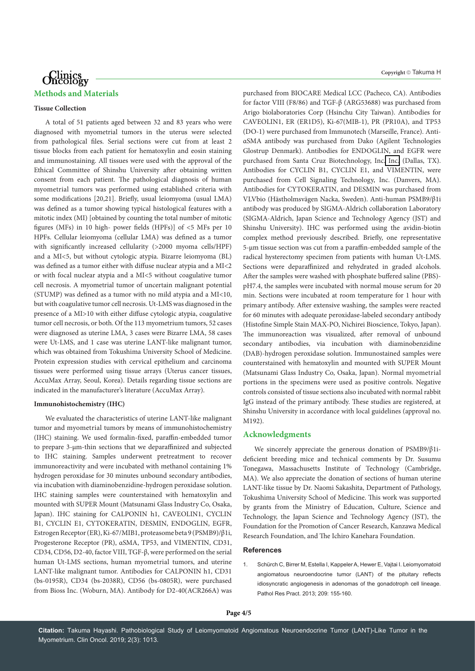## Clinics<br>Oncology **Methods and Materials**

#### **Tissue Collection**

A total of 51 patients aged between 32 and 83 years who were diagnosed with myometrial tumors in the uterus were selected from pathological files. Serial sections were cut from at least 2 tissue blocks from each patient for hematoxylin and eosin staining and immunostaining. All tissues were used with the approval of the Ethical Committee of Shinshu University after obtaining written consent from each patient. The pathological diagnosis of human myometrial tumors was performed using established criteria with some modifications [20,21]. Briefly, usual leiomyoma (usual LMA) was defined as a tumor showing typical histological features with a mitotic index (MI) [obtained by counting the total number of mitotic figures (MFs) in 10 high- power fields (HPFs)] of <5 MFs per 10 HPFs. Cellular leiomyoma (cellular LMA) was defined as a tumor with significantly increased cellularity (>2000 myoma cells/HPF) and a MI<5, but without cytologic atypia. Bizarre leiomyoma (BL) was defined as a tumor either with diffuse nuclear atypia and a MI<2 or with focal nuclear atypia and a MI<5 without coagulative tumor cell necrosis. A myometrial tumor of uncertain malignant potential (STUMP) was defined as a tumor with no mild atypia and a MI<10, but with coagulative tumor cell necrosis. Ut-LMS was diagnosed in the presence of a MI>10 with either diffuse cytologic atypia, coagulative tumor cell necrosis, or both. Of the 113 myometrium tumors, 52 cases were diagnosed as uterine LMA, 3 cases were Bizarre LMA, 58 cases were Ut-LMS, and 1 case was uterine LANT-like malignant tumor, which was obtained from Tokushima University School of Medicine. Protein expression studies with cervical epithelium and carcinoma tissues were performed using tissue arrays (Uterus cancer tissues, AccuMax Array, Seoul, Korea). Details regarding tissue sections are indicated in the manufacturer's literature (AccuMax Array).

## **Immunohistochemistry (IHC)**

We evaluated the characteristics of uterine LANT-like malignant tumor and myometrial tumors by means of immunohistochemistry (IHC) staining. We used formalin-fixed, paraffin-embedded tumor to prepare 3-μm-thin sections that we deparaffinized and subjected to IHC staining. Samples underwent pretreatment to recover immunoreactivity and were incubated with methanol containing 1% hydrogen peroxidase for 30 minutes unbound secondary antibodies, via incubation with diaminobenzidine-hydrogen peroxidase solution. IHC staining samples were counterstained with hematoxylin and mounted with SUPER Mount (Matsunami Glass Industry Co, Osaka, Japan). IHC staining for CALPONIN h1, CAVEOLIN1, CYCLIN B1, CYCLIN E1, CYTOKERATIN, DESMIN, ENDOGLIN, EGFR, Estrogen Receptor (ER), Ki-67/MIB1, proteasome beta 9 (PSMB9)/β1i, Progesterone Receptor (PR), αSMA, TP53, and VIMENTIN, CD31, CD34, CD56, D2-40, factor VIII, TGF-β, were performed on the serial human Ut-LMS sections, human myometrial tumors, and uterine LANT-like malignant tumor. Antibodies for CALPONIN h1, CD31 (bs-0195R), CD34 (bs-2038R), CD56 (bs-0805R), were purchased from Bioss Inc. (Woburn, MA). Antibody for D2-40(ACR266A) was

purchased from BIOCARE Medical LCC (Pacheco, CA). Antibodies for factor VIII (F8/86) and TGF-β (ARG53688) was purchased from Arigo biolaboratories Corp (Hsinchu City Taiwan). Antibodies for CAVEOLIN1, ER (ER1D5), Ki-67(MIB-1), PR (PR10A), and TP53 (DO-1) were purchased from Immunotech (Marseille, France). AntiαSMA antibody was purchased from Dako (Agilent Technologies Glostrup Denmark). Antibodies for ENDOGLIN, and EGFR were purchased from Santa Cruz Biotechnology, Inc[. Inc.](http://www.scbt.jp/) (Dallas, TX). Antibodies for CYCLIN B1, CYCLIN E1, and VIMENTIN, were purchased from Cell Signaling Technology, Inc. (Danvers, MA). Antibodies for CYTOKERATIN, and DESMIN was purchased from VLVbio (Hästholmsvägen Nacka, Sweden). Anti-human PSMB9/β1i antibody was produced by SIGMA-Aldrich collaboration Laboratory (SIGMA-Aldrich, Japan Science and Technology Agency (JST) and Shinshu University). IHC was performed using the avidin-biotin complex method previously described. Briefly, one representative 5-µm tissue section was cut from a paraffin-embedded sample of the radical hysterectomy specimen from patients with human Ut-LMS. Sections were deparaffinized and rehydrated in graded alcohols. After the samples were washed with phosphate buffered saline (PBS) pH7.4, the samples were incubated with normal mouse serum for 20 min. Sections were incubated at room temperature for 1 hour with primary antibody. After extensive washing, the samples were reacted for 60 minutes with adequate peroxidase-labeled secondary antibody (Histofine Simple Stain MAX-PO, Nichirei Bioscience, Tokyo, Japan). The immunoreaction was visualized, after removal of unbound secondary antibodies, via incubation with diaminobenzidine (DAB)-hydrogen peroxidase solution. Immunostained samples were counterstained with hematoxylin and mounted with SUPER Mount (Matsunami Glass Industry Co, Osaka, Japan). Normal myometrial portions in the specimens were used as positive controls. Negative controls consisted of tissue sections also incubated with normal rabbit IgG instead of the primary antibody. These studies are registered, at Shinshu University in accordance with local guidelines (approval no. M192).

## **Acknowledgments**

We sincerely appreciate the generous donation of PSMB9/β1ideficient breeding mice and technical comments by Dr. Susumu Tonegawa, Massachusetts Institute of Technology (Cambridge, MA). We also appreciate the donation of sections of human uterine LANT-like tissue by Dr. Naomi Sakashita, Department of Pathology, Tokushima University School of Medicine. This work was supported by grants from the Ministry of Education, Culture, Science and Technology, the Japan Science and Technology Agency (JST), the Foundation for the Promotion of Cancer Research, Kanzawa Medical Research Foundation, and The Ichiro Kanehara Foundation.

#### **References**

1. Schürch C, Birrer M, Estella I, Kappeler A, Hewer E, Vajtai I. Leiomyomatoid angiomatous neuroendocrine tumor (LANT) of the pituitary reflects idiosyncratic angiogenesis in adenomas of the gonadotroph cell lineage. Pathol Res Pract. 2013; 209: 155-160.